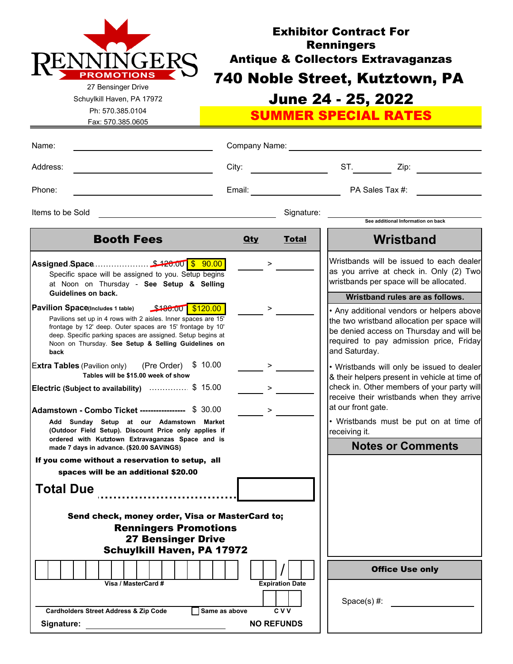

Fax: 570.385.0605

Schuylkill Haven, PA 17972 Ph: 570.385.0104

# June 24 - 25, 2022 Exhibitor Contract For **Renningers** Antique & Collectors Extravaganzas 740 Noble Street, Kutztown, PA

SUMMER SPECIAL RATES

| Name:                                                                                                                                                                                                                                                                                                                                                                                                                                                                                                                                                                                                                                                                                                                                                                                                                 | Company Name:              |                                                                                                                                                                                                                                                                                                                                                                                                                                                                                                                                                                                                                                                  |
|-----------------------------------------------------------------------------------------------------------------------------------------------------------------------------------------------------------------------------------------------------------------------------------------------------------------------------------------------------------------------------------------------------------------------------------------------------------------------------------------------------------------------------------------------------------------------------------------------------------------------------------------------------------------------------------------------------------------------------------------------------------------------------------------------------------------------|----------------------------|--------------------------------------------------------------------------------------------------------------------------------------------------------------------------------------------------------------------------------------------------------------------------------------------------------------------------------------------------------------------------------------------------------------------------------------------------------------------------------------------------------------------------------------------------------------------------------------------------------------------------------------------------|
| Address:                                                                                                                                                                                                                                                                                                                                                                                                                                                                                                                                                                                                                                                                                                                                                                                                              | City:                      | ST.<br>Zip:                                                                                                                                                                                                                                                                                                                                                                                                                                                                                                                                                                                                                                      |
| Phone:                                                                                                                                                                                                                                                                                                                                                                                                                                                                                                                                                                                                                                                                                                                                                                                                                |                            | PA Sales Tax #:                                                                                                                                                                                                                                                                                                                                                                                                                                                                                                                                                                                                                                  |
| Items to be Sold                                                                                                                                                                                                                                                                                                                                                                                                                                                                                                                                                                                                                                                                                                                                                                                                      | Signature:                 | See additional Information on back                                                                                                                                                                                                                                                                                                                                                                                                                                                                                                                                                                                                               |
| <b>Booth Fees</b>                                                                                                                                                                                                                                                                                                                                                                                                                                                                                                                                                                                                                                                                                                                                                                                                     | <b>Qty</b><br><b>Total</b> | Wristband                                                                                                                                                                                                                                                                                                                                                                                                                                                                                                                                                                                                                                        |
| Specific space will be assigned to you. Setup begins<br>at Noon on Thursday - See Setup & Selling<br>Guidelines on back.<br>Pavilion Space(Includes 1 table) \$180.00 \$120.00<br>Pavilions set up in 4 rows with 2 aisles. Inner spaces are 15'<br>frontage by 12' deep. Outer spaces are 15' frontage by 10'<br>deep. Specific parking spaces are assigned. Setup begins at<br>Noon on Thursday. See Setup & Selling Guidelines on<br>back<br><b>Extra Tables</b> (Pavilion only) (Pre Order) \$ 10.00<br>Tables will be \$15.00 week of show<br>Electric (Subject to availability)  \$ 15.00<br><b>Adamstown - Combo Ticket ----------------</b> \$ 30.00<br>Add Sunday Setup at our Adamstown Market<br>(Outdoor Field Setup). Discount Price only applies if<br>ordered with Kutztown Extravaganzas Space and is | $\geq$<br>$\geq$<br>$\geq$ | Wristbands will be issued to each dealer<br>as you arrive at check in. Only (2) Two<br>wristbands per space will be allocated.<br>Wristband rules are as follows.<br>• Any additional vendors or helpers above<br>the two wristband allocation per space will<br>be denied access on Thursday and will be<br>required to pay admission price, Friday<br>and Saturday.<br>• Wristbands will only be issued to dealer<br>& their helpers present in vehicle at time of<br>check in. Other members of your party will<br>receive their wristbands when they arrive<br>at our front gate.<br>• Wristbands must be put on at time of<br>receiving it. |
| made 7 days in advance. (\$20.00 SAVINGS)<br>If you come without a reservation to setup, all                                                                                                                                                                                                                                                                                                                                                                                                                                                                                                                                                                                                                                                                                                                          |                            | <b>Notes or Comments</b>                                                                                                                                                                                                                                                                                                                                                                                                                                                                                                                                                                                                                         |
| spaces will be an additional \$20.00<br><b>Total Due</b>                                                                                                                                                                                                                                                                                                                                                                                                                                                                                                                                                                                                                                                                                                                                                              |                            |                                                                                                                                                                                                                                                                                                                                                                                                                                                                                                                                                                                                                                                  |
| Send check, money order, Visa or MasterCard to;<br><b>Renningers Promotions</b><br><b>27 Bensinger Drive</b><br><b>Schuylkill Haven, PA 17972</b>                                                                                                                                                                                                                                                                                                                                                                                                                                                                                                                                                                                                                                                                     |                            |                                                                                                                                                                                                                                                                                                                                                                                                                                                                                                                                                                                                                                                  |
| Visa / MasterCard #                                                                                                                                                                                                                                                                                                                                                                                                                                                                                                                                                                                                                                                                                                                                                                                                   | <b>Expiration Date</b>     | <b>Office Use only</b>                                                                                                                                                                                                                                                                                                                                                                                                                                                                                                                                                                                                                           |
| Cardholders Street Address & Zip Code<br>Same as above                                                                                                                                                                                                                                                                                                                                                                                                                                                                                                                                                                                                                                                                                                                                                                | <b>CVV</b>                 | $Space(s)$ #:                                                                                                                                                                                                                                                                                                                                                                                                                                                                                                                                                                                                                                    |
| Signature:                                                                                                                                                                                                                                                                                                                                                                                                                                                                                                                                                                                                                                                                                                                                                                                                            | <b>NO REFUNDS</b>          |                                                                                                                                                                                                                                                                                                                                                                                                                                                                                                                                                                                                                                                  |